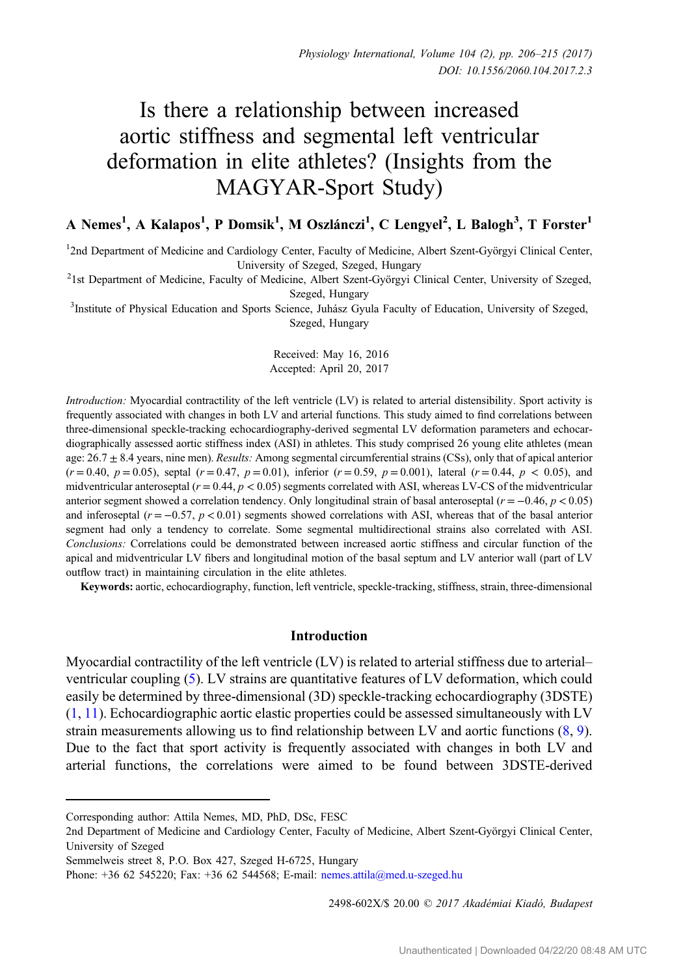# Is there a relationship between increased aortic stiffness and segmental left ventricular deformation in elite athletes? (Insights from the MAGYAR-Sport Study)

# A Nemes<sup>1</sup>, A Kalapos<sup>1</sup>, P Domsik<sup>1</sup>, M Oszlánczi<sup>1</sup>, C Lengyel<sup>2</sup>, L Balogh<sup>3</sup>, T Forster<sup>1</sup>

1 2nd Department of Medicine and Cardiology Center, Faculty of Medicine, Albert Szent-Györgyi Clinical Center,

University of Szeged, Szeged, Hungary<br><sup>2</sup>1st Department of Medicine, Faculty of Medicine, Albert Szent-Györgyi Clinical Center, University of Szeged,

Szeged, Hungary<br><sup>3</sup>Institute of Physical Education and Sports Science, Juhász Gyula Faculty of Education, University of Szeged, Szeged, Hungary

> Received: May 16, 2016 Accepted: April 20, 2017

Introduction: Myocardial contractility of the left ventricle (LV) is related to arterial distensibility. Sport activity is frequently associated with changes in both LV and arterial functions. This study aimed to find correlations between three-dimensional speckle-tracking echocardiography-derived segmental LV deformation parameters and echocardiographically assessed aortic stiffness index (ASI) in athletes. This study comprised 26 young elite athletes (mean age:  $26.7 \pm 8.4$  years, nine men). Results: Among segmental circumferential strains (CSs), only that of apical anterior  $(r = 0.40, p = 0.05)$ , septal  $(r = 0.47, p = 0.01)$ , inferior  $(r = 0.59, p = 0.001)$ , lateral  $(r = 0.44, p < 0.05)$ , and midventricular anteroseptal  $(r = 0.44, p < 0.05)$  segments correlated with ASI, whereas LV-CS of the midventricular anterior segment showed a correlation tendency. Only longitudinal strain of basal anteroseptal ( $r = -0.46$ ,  $p < 0.05$ ) and inferoseptal ( $r = -0.57$ ,  $p < 0.01$ ) segments showed correlations with ASI, whereas that of the basal anterior segment had only a tendency to correlate. Some segmental multidirectional strains also correlated with ASI. Conclusions: Correlations could be demonstrated between increased aortic stiffness and circular function of the apical and midventricular LV fibers and longitudinal motion of the basal septum and LV anterior wall (part of LV outflow tract) in maintaining circulation in the elite athletes.

Keywords: aortic, echocardiography, function, left ventricle, speckle-tracking, stiffness, strain, three-dimensional

#### Introduction

Myocardial contractility of the left ventricle (LV) is related to arterial stiffness due to arterial– ventricular coupling [\(5](#page-8-0)). LV strains are quantitative features of LV deformation, which could easily be determined by three-dimensional (3D) speckle-tracking echocardiography (3DSTE)  $(1, 11)$  $(1, 11)$  $(1, 11)$ . Echocardiographic aortic elastic properties could be assessed simultaneously with LV strain measurements allowing us to find relationship between LV and aortic functions [\(8](#page-8-0), [9](#page-8-0)). Due to the fact that sport activity is frequently associated with changes in both LV and arterial functions, the correlations were aimed to be found between 3DSTE-derived

2498-602X/\$ 20.00 © 2017 Akadémiai Kiadó, Budapest

Corresponding author: Attila Nemes, MD, PhD, DSc, FESC

<sup>2</sup>nd Department of Medicine and Cardiology Center, Faculty of Medicine, Albert Szent-Györgyi Clinical Center, University of Szeged

Semmelweis street 8, P.O. Box 427, Szeged H-6725, Hungary

Phone: +36 62 545220; Fax: +36 62 544568; E-mail: [nemes.attila@med.u](mailto:nemes.attila@med.u-szeged.hu)-szeged.hu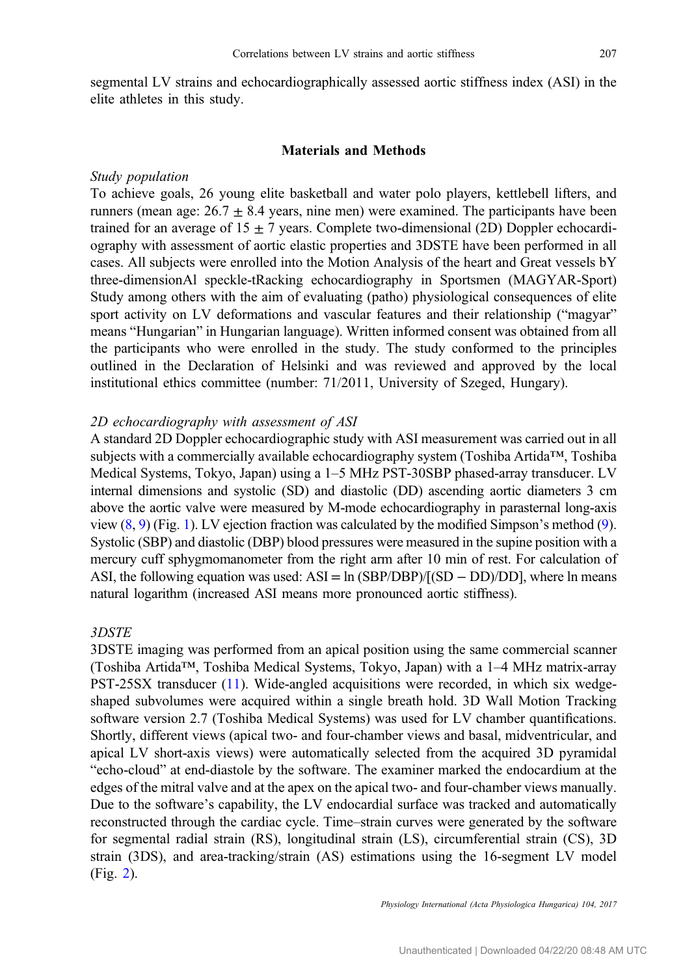segmental LV strains and echocardiographically assessed aortic stiffness index (ASI) in the elite athletes in this study.

#### Materials and Methods

#### Study population

To achieve goals, 26 young elite basketball and water polo players, kettlebell lifters, and runners (mean age:  $26.7 \pm 8.4$  years, nine men) were examined. The participants have been trained for an average of  $15 \pm 7$  years. Complete two-dimensional (2D) Doppler echocardiography with assessment of aortic elastic properties and 3DSTE have been performed in all cases. All subjects were enrolled into the Motion Analysis of the heart and Great vessels bY three-dimensionAl speckle-tRacking echocardiography in Sportsmen (MAGYAR-Sport) Study among others with the aim of evaluating (patho) physiological consequences of elite sport activity on LV deformations and vascular features and their relationship ("magyar" means "Hungarian" in Hungarian language). Written informed consent was obtained from all the participants who were enrolled in the study. The study conformed to the principles outlined in the Declaration of Helsinki and was reviewed and approved by the local institutional ethics committee (number: 71/2011, University of Szeged, Hungary).

#### 2D echocardiography with assessment of ASI

A standard 2D Doppler echocardiographic study with ASI measurement was carried out in all subjects with a commercially available echocardiography system (Toshiba Artida™, Toshiba Medical Systems, Tokyo, Japan) using a 1–5 MHz PST-30SBP phased-array transducer. LV internal dimensions and systolic (SD) and diastolic (DD) ascending aortic diameters 3 cm above the aortic valve were measured by M-mode echocardiography in parasternal long-axis view  $(8, 9)$  $(8, 9)$  $(8, 9)$  (Fig. [1\)](#page-2-0). LV ejection fraction was calculated by the modified Simpson's method  $(9)$  $(9)$ . Systolic (SBP) and diastolic (DBP) blood pressures were measured in the supine position with a mercury cuff sphygmomanometer from the right arm after 10 min of rest. For calculation of ASI, the following equation was used:  $ASI = \ln (SBP/DBP)/[(SD - DD)/DD]$ , where  $\ln$  means natural logarithm (increased ASI means more pronounced aortic stiffness).

#### 3DSTE

3DSTE imaging was performed from an apical position using the same commercial scanner (Toshiba Artida™, Toshiba Medical Systems, Tokyo, Japan) with a 1–4 MHz matrix-array PST-25SX transducer ([11\)](#page-9-0). Wide-angled acquisitions were recorded, in which six wedgeshaped subvolumes were acquired within a single breath hold. 3D Wall Motion Tracking software version 2.7 (Toshiba Medical Systems) was used for LV chamber quantifications. Shortly, different views (apical two- and four-chamber views and basal, midventricular, and apical LV short-axis views) were automatically selected from the acquired 3D pyramidal "echo-cloud" at end-diastole by the software. The examiner marked the endocardium at the edges of the mitral valve and at the apex on the apical two- and four-chamber views manually. Due to the software's capability, the LV endocardial surface was tracked and automatically reconstructed through the cardiac cycle. Time–strain curves were generated by the software for segmental radial strain (RS), longitudinal strain (LS), circumferential strain (CS), 3D strain (3DS), and area-tracking/strain (AS) estimations using the 16-segment LV model (Fig. [2](#page-3-0)).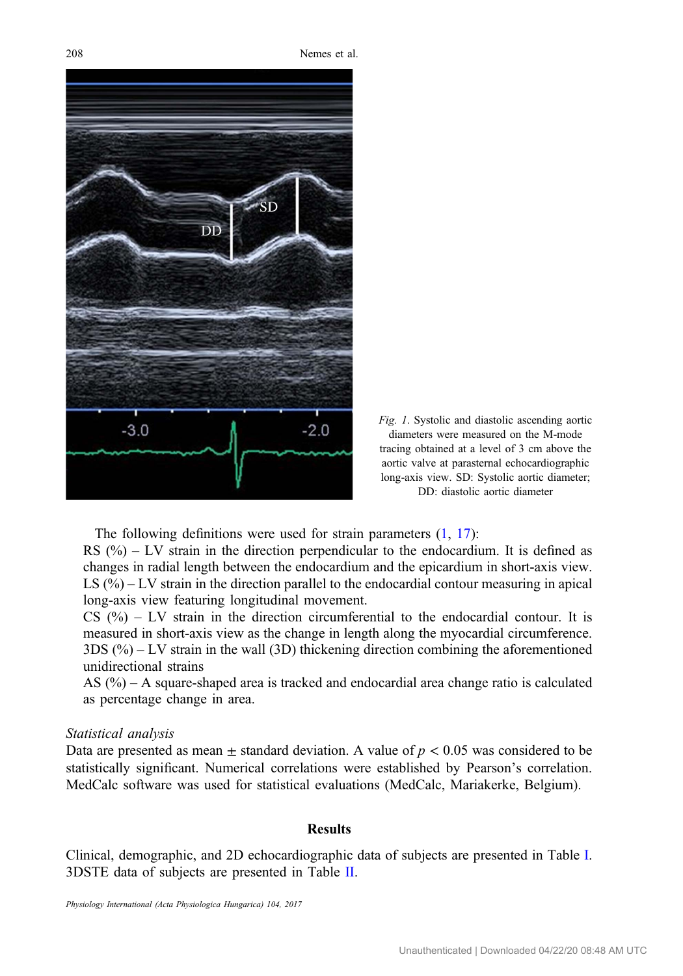<span id="page-2-0"></span>



The following definitions were used for strain parameters  $(1, 17)$  $(1, 17)$  $(1, 17)$  $(1, 17)$ : RS  $(%) - LV$  strain in the direction perpendicular to the endocardium. It is defined as changes in radial length between the endocardium and the epicardium in short-axis view. LS (%) – LV strain in the direction parallel to the endocardial contour measuring in apical long-axis view featuring longitudinal movement.

 $CS$  (%) – LV strain in the direction circumferential to the endocardial contour. It is measured in short-axis view as the change in length along the myocardial circumference.  $3DS$  (%) – LV strain in the wall (3D) thickening direction combining the aforementioned unidirectional strains

AS  $(\%)$  – A square-shaped area is tracked and endocardial area change ratio is calculated as percentage change in area.

#### Statistical analysis

Data are presented as mean  $\pm$  standard deviation. A value of  $p < 0.05$  was considered to be statistically significant. Numerical correlations were established by Pearson's correlation. MedCalc software was used for statistical evaluations (MedCalc, Mariakerke, Belgium).

#### **Results**

Clinical, demographic, and 2D echocardiographic data of subjects are presented in Table [I.](#page-4-0) 3DSTE data of subjects are presented in Table [II](#page-4-0).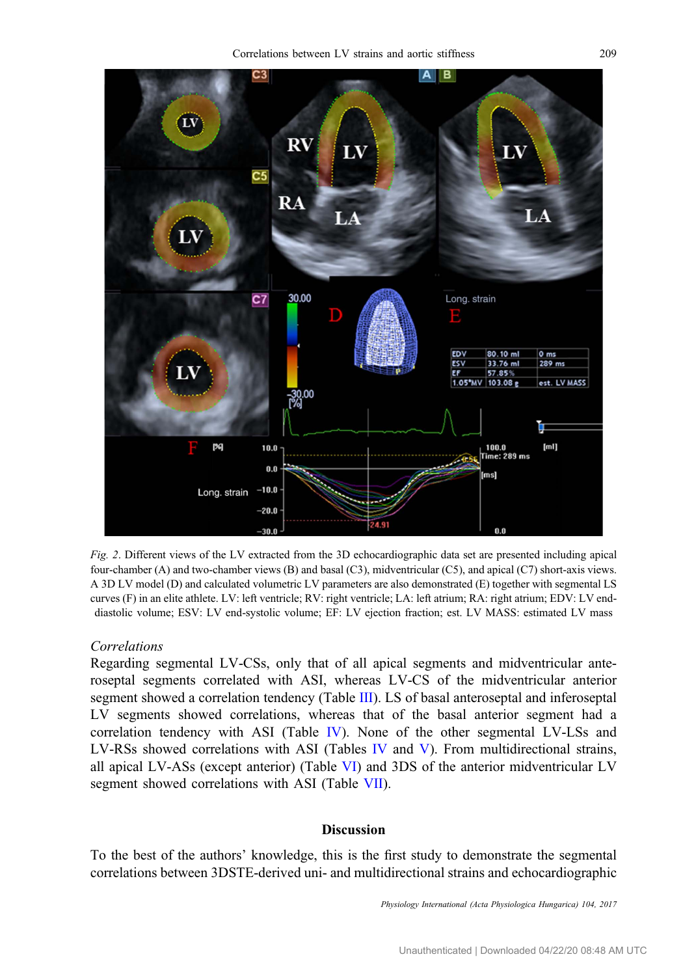<span id="page-3-0"></span>

Fig. 2. Different views of the LV extracted from the 3D echocardiographic data set are presented including apical four-chamber (A) and two-chamber views (B) and basal (C3), midventricular (C5), and apical (C7) short-axis views. A 3D LV model (D) and calculated volumetric LV parameters are also demonstrated (E) together with segmental LS curves (F) in an elite athlete. LV: left ventricle; RV: right ventricle; LA: left atrium; RA: right atrium; EDV: LV enddiastolic volume; ESV: LV end-systolic volume; EF: LV ejection fraction; est. LV MASS: estimated LV mass

#### Correlations

Regarding segmental LV-CSs, only that of all apical segments and midventricular anteroseptal segments correlated with ASI, whereas LV-CS of the midventricular anterior segment showed a correlation tendency (Table [III](#page-5-0)). LS of basal anteroseptal and inferoseptal LV segments showed correlations, whereas that of the basal anterior segment had a correlation tendency with ASI (Table [IV](#page-6-0)). None of the other segmental LV-LSs and LV-RSs showed correlations with ASI (Tables [IV](#page-6-0) and [V\)](#page-6-0). From multidirectional strains, all apical LV-ASs (except anterior) (Table [VI\)](#page-6-0) and 3DS of the anterior midventricular LV segment showed correlations with ASI (Table [VII](#page-7-0)).

#### **Discussion**

To the best of the authors' knowledge, this is the first study to demonstrate the segmental correlations between 3DSTE-derived uni- and multidirectional strains and echocardiographic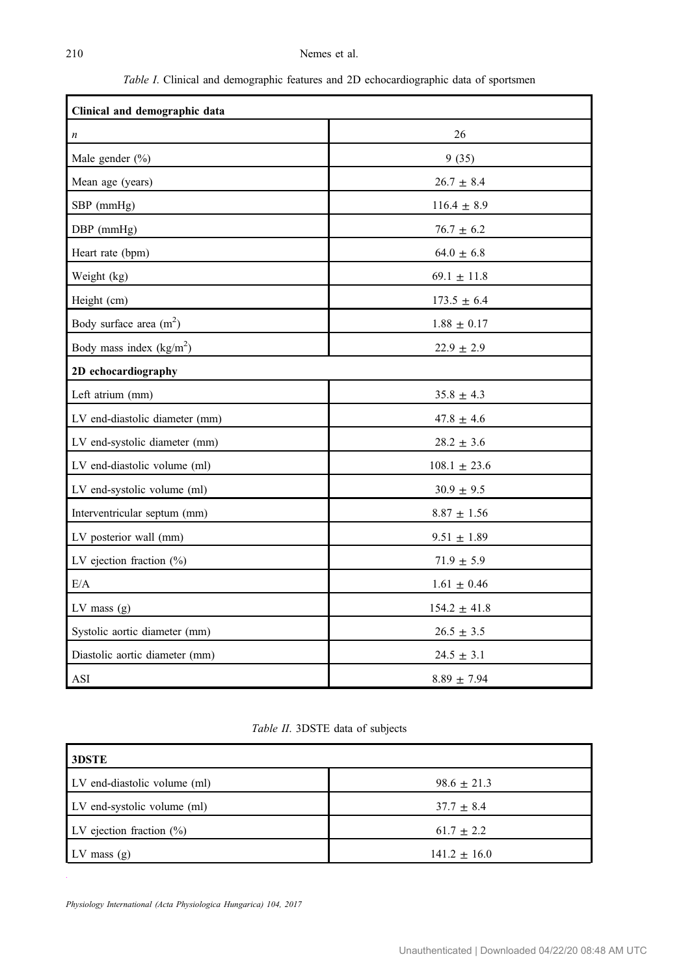Table I. Clinical and demographic features and 2D echocardiographic data of sportsmen

<span id="page-4-0"></span>

| Clinical and demographic data  |                    |  |  |  |  |
|--------------------------------|--------------------|--|--|--|--|
| $\boldsymbol{n}$               | 26                 |  |  |  |  |
| Male gender (%)                | 9(35)              |  |  |  |  |
| Mean age (years)               | $26.7 \pm 8.4$     |  |  |  |  |
| SBP (mmHg)                     | $116.4 \pm 8.9$    |  |  |  |  |
| DBP (mmHg)                     | $76.7 \pm 6.2$     |  |  |  |  |
| Heart rate (bpm)               | $64.0 \pm 6.8$     |  |  |  |  |
| Weight (kg)                    | $69.1 \pm 11.8$    |  |  |  |  |
| Height (cm)                    | $173.5 \pm 6.4$    |  |  |  |  |
| Body surface area $(m2)$       | $1.88 \pm 0.17$    |  |  |  |  |
| Body mass index $(kg/m2)$      | $22.9 \pm 2.9$     |  |  |  |  |
| 2D echocardiography            |                    |  |  |  |  |
| Left atrium (mm)               | $35.8\,\pm\,4.3$   |  |  |  |  |
| LV end-diastolic diameter (mm) | $47.8 \pm 4.6$     |  |  |  |  |
| LV end-systolic diameter (mm)  | $28.2\,\pm\,3.6$   |  |  |  |  |
| LV end-diastolic volume (ml)   | $108.1\,\pm\,23.6$ |  |  |  |  |
| LV end-systolic volume (ml)    | $30.9 \pm 9.5$     |  |  |  |  |
| Interventricular septum (mm)   | $8.87 \pm 1.56$    |  |  |  |  |
| LV posterior wall (mm)         | $9.51 \pm 1.89$    |  |  |  |  |
| LV ejection fraction $(\%)$    | $71.9 \pm 5.9$     |  |  |  |  |
| E/A                            | $1.61\,\pm\,0.46$  |  |  |  |  |
| $LV$ mass $(g)$                | $154.2\,\pm\,41.8$ |  |  |  |  |
| Systolic aortic diameter (mm)  | $26.5 \pm 3.5$     |  |  |  |  |
| Diastolic aortic diameter (mm) | $24.5 \pm 3.1$     |  |  |  |  |
| ASI                            | $8.89 \pm 7.94$    |  |  |  |  |

Table II. 3DSTE data of subjects

| 3DSTE                        |                  |  |  |  |  |
|------------------------------|------------------|--|--|--|--|
| LV end-diastolic volume (ml) | $98.6 \pm 21.3$  |  |  |  |  |
| LV end-systolic volume (ml)  | $37.7 \pm 8.4$   |  |  |  |  |
| LV ejection fraction $(\% )$ | $61.7 \pm 2.2$   |  |  |  |  |
| $LV$ mass $(g)$              | $141.2 \pm 16.0$ |  |  |  |  |
|                              |                  |  |  |  |  |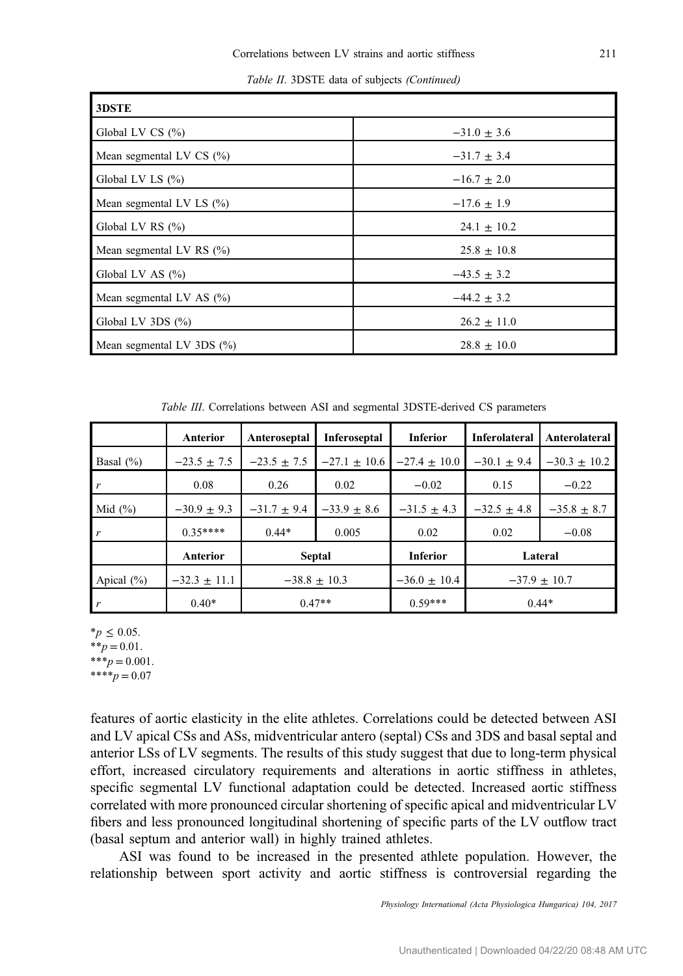Table II. 3DSTE data of subjects (Continued)

<span id="page-5-0"></span>

| 3DSTE                        |                 |  |  |  |  |
|------------------------------|-----------------|--|--|--|--|
| Global LV CS $(\% )$         | $-31.0 \pm 3.6$ |  |  |  |  |
| Mean segmental LV CS $(\% )$ | $-31.7 \pm 3.4$ |  |  |  |  |
| Global LV LS $(\% )$         | $-16.7 \pm 2.0$ |  |  |  |  |
| Mean segmental LV LS $(\% )$ | $-17.6 \pm 1.9$ |  |  |  |  |
| Global LV RS (%)             | $24.1 \pm 10.2$ |  |  |  |  |
| Mean segmental LV RS $(\% )$ | $25.8 \pm 10.8$ |  |  |  |  |
| Global LV AS $(\% )$         | $-43.5 \pm 3.2$ |  |  |  |  |
| Mean segmental LV AS $(\% )$ | $-44.2 \pm 3.2$ |  |  |  |  |
| Global LV 3DS (%)            | $26.2 \pm 11.0$ |  |  |  |  |
| Mean segmental LV $3DS(%)$   | $28.8 \pm 10.0$ |  |  |  |  |

Table III. Correlations between ASI and segmental 3DSTE-derived CS parameters

|                  | <b>Anterior</b>  | Anteroseptal     | Inferoseptal     | <b>Inferior</b>  | <b>Inferolateral</b> | Anterolateral    |
|------------------|------------------|------------------|------------------|------------------|----------------------|------------------|
| Basal $(\%)$     | $-23.5 \pm 7.5$  | $-23.5 + 7.5$    | $-27.1 \pm 10.6$ | $-27.4 \pm 10.0$ | $-30.1 \pm 9.4$      | $-30.3 \pm 10.2$ |
| $\boldsymbol{r}$ | 0.08             | 0.26             | 0.02             | $-0.02$          | 0.15                 | $-0.22$          |
| Mid $(\% )$      | $-30.9 + 9.3$    | $-31.7 + 9.4$    | $-33.9 \pm 8.6$  | $-31.5 + 4.3$    | $-32.5 + 4.8$        | $-35.8 \pm 8.7$  |
| $\mathbf{r}$     | $0.35***$        | $0.44*$          | 0.005            | 0.02             | 0.02                 | $-0.08$          |
|                  | <b>Anterior</b>  | Septal           |                  | <b>Inferior</b>  |                      | Lateral          |
| Apical $(\% )$   | $-32.3 \pm 11.1$ | $-38.8 \pm 10.3$ |                  | $-36.0 \pm 10.4$ | $-37.9 \pm 10.7$     |                  |
| $\mathbf{r}$     | $0.40*$          | $0.47**$         |                  | $0.59***$        | $0.44*$              |                  |

\*p ≤ 0.05.

 $**p = 0.01$ .  $***p = 0.001$ .

 $***p = 0.07$ 

features of aortic elasticity in the elite athletes. Correlations could be detected between ASI and LV apical CSs and ASs, midventricular antero (septal) CSs and 3DS and basal septal and anterior LSs of LV segments. The results of this study suggest that due to long-term physical effort, increased circulatory requirements and alterations in aortic stiffness in athletes, specific segmental LV functional adaptation could be detected. Increased aortic stiffness correlated with more pronounced circular shortening of specific apical and midventricular LV fibers and less pronounced longitudinal shortening of specific parts of the LV outflow tract (basal septum and anterior wall) in highly trained athletes.

ASI was found to be increased in the presented athlete population. However, the relationship between sport activity and aortic stiffness is controversial regarding the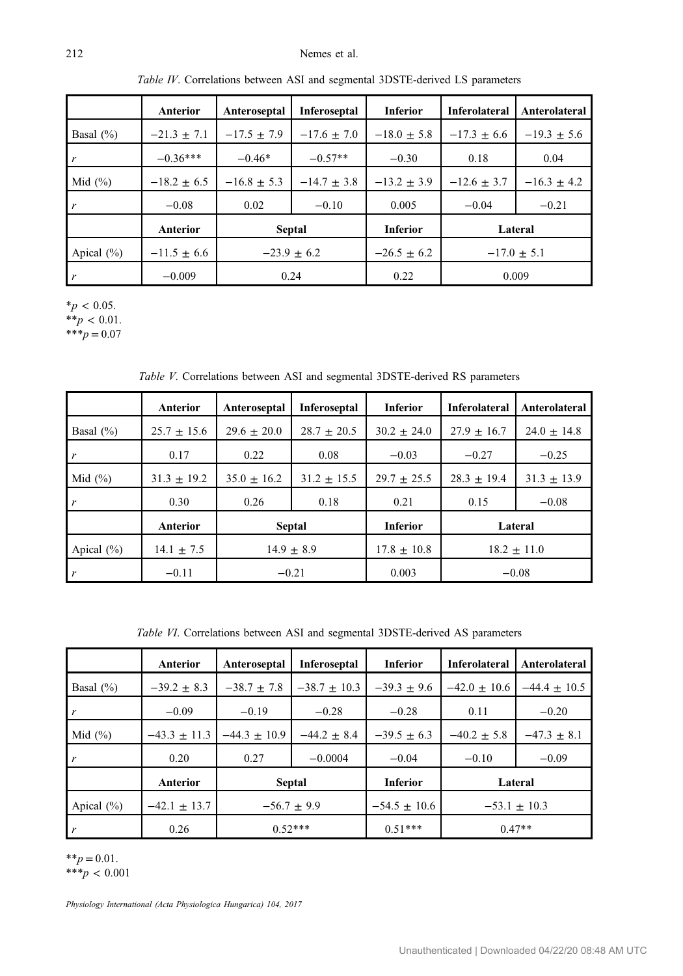#### <span id="page-6-0"></span>212 Nemes et al.

|                | Anterior        | Anteroseptal    | Inferoseptal    | <b>Inferior</b> | <b>Inferolateral</b> | Anterolateral   |
|----------------|-----------------|-----------------|-----------------|-----------------|----------------------|-----------------|
| Basal $(\% )$  | $-21.3 + 7.1$   | $-17.5 \pm 7.9$ | $-17.6 \pm 7.0$ | $-18.0 \pm 5.8$ | $-17.3 + 6.6$        | $-19.3 \pm 5.6$ |
| $\mathbf{r}$   | $-0.36***$      | $-0.46*$        | $-0.57**$       | $-0.30$         | 0.18                 | 0.04            |
| Mid $(\%)$     | $-18.2 \pm 6.5$ | $-16.8 \pm 5.3$ | $-14.7 \pm 3.8$ | $-13.2 \pm 3.9$ | $-12.6 + 3.7$        | $-16.3 \pm 4.2$ |
| $\mathbf{r}$   | $-0.08$         | 0.02            | $-0.10$         | 0.005           | $-0.04$              | $-0.21$         |
|                | <b>Anterior</b> | <b>Septal</b>   |                 | <b>Inferior</b> |                      | Lateral         |
| Apical $(\% )$ | $-11.5 + 6.6$   | $-23.9 + 6.2$   |                 | $-26.5 + 6.2$   | $-17.0 \pm 5.1$      |                 |
| r              | $-0.009$        | 0.24            |                 | 0.22            | 0.009                |                 |

Table IV. Correlations between ASI and segmental 3DSTE-derived LS parameters

 $*_{p}$  < 0.05. \*\* $p < 0.01$ .

\*\*\* $p = 0.07$ 

Table V. Correlations between ASI and segmental 3DSTE-derived RS parameters

|                | Anterior        | Anteroseptal   | Inferoseptal  | <b>Inferior</b> | <b>Inferolateral</b> | Anterolateral   |
|----------------|-----------------|----------------|---------------|-----------------|----------------------|-----------------|
| Basal $(\%)$   | $25.7 \pm 15.6$ | $29.6 + 20.0$  | $28.7 + 20.5$ | $30.2 + 24.0$   | $27.9 + 16.7$        | $24.0 \pm 14.8$ |
| $\mathbf{r}$   | 0.17            | 0.22           | 0.08          | $-0.03$         | $-0.27$              | $-0.25$         |
| Mid $(\% )$    | $31.3 + 19.2$   | $35.0 + 16.2$  | $31.2 + 15.5$ | $29.7 \pm 25.5$ | $28.3 + 19.4$        | $31.3 + 13.9$   |
| $\mathbf{r}$   | 0.30            | 0.26           | 0.18          | 0.21            | 0.15                 | $-0.08$         |
|                | Anterior        | <b>Septal</b>  |               | <b>Inferior</b> |                      | Lateral         |
| Apical $(\% )$ | $14.1 \pm 7.5$  | $14.9 \pm 8.9$ |               | $17.8 \pm 10.8$ | $18.2 \pm 11.0$      |                 |
|                | $-0.11$         | $-0.21$        |               | 0.003           |                      | $-0.08$         |

Table VI. Correlations between ASI and segmental 3DSTE-derived AS parameters

|                | Anterior        | Anteroseptal     | Inferoseptal     | <b>Inferior</b>  | <b>Inferolateral</b> | Anterolateral  |
|----------------|-----------------|------------------|------------------|------------------|----------------------|----------------|
| Basal $(\% )$  | $-39.2 + 8.3$   | $-38.7 \pm 7.8$  | $-38.7 \pm 10.3$ | $-39.3 + 9.6$    | $-42.0 + 10.6$       | $-44.4 + 10.5$ |
| $\mathbf{r}$   | $-0.09$         | $-0.19$          | $-0.28$          | $-0.28$          | 0.11                 | $-0.20$        |
| Mid $(\% )$    | $-43.3 + 11.3$  | $-44.3 \pm 10.9$ | $-44.2 \pm 8.4$  | $-39.5 + 6.3$    | $-40.2 + 5.8$        | $-47.3 + 8.1$  |
| $\mathbf{r}$   | 0.20            | 0.27             | $-0.0004$        | $-0.04$          | $-0.10$              | $-0.09$        |
|                | <b>Anterior</b> | <b>Septal</b>    |                  | <b>Inferior</b>  |                      | Lateral        |
| Apical $(\% )$ | $-42.1 + 13.7$  | $-56.7 + 9.9$    |                  | $-54.5 \pm 10.6$ | $-53.1 \pm 10.3$     |                |
| $\mathbf{r}$   | 0.26            | $0.52***$        |                  | $0.51***$        |                      | $0.47**$       |

 $*^*p = 0.01$ .

 $***p < 0.001$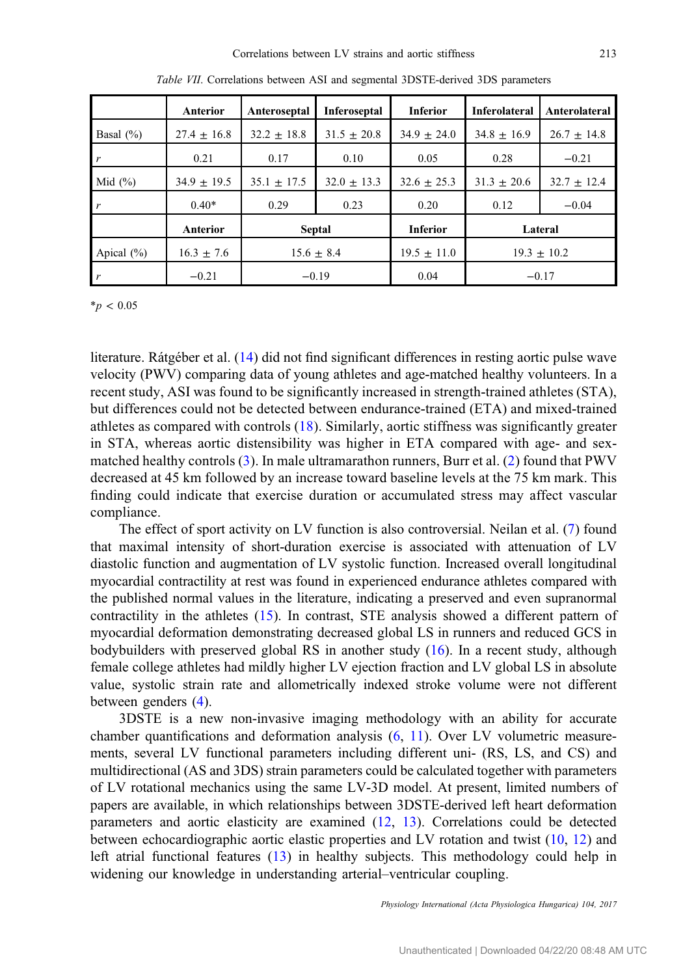<span id="page-7-0"></span>

|                | <b>Anterior</b> | Anteroseptal    | Inferoseptal    | <b>Inferior</b> | <b>Inferolateral</b> | Anterolateral   |
|----------------|-----------------|-----------------|-----------------|-----------------|----------------------|-----------------|
| Basal $(\%)$   | $27.4 \pm 16.8$ | $32.2 \pm 18.8$ | $31.5 + 20.8$   | $34.9 + 24.0$   | $34.8 \pm 16.9$      | $26.7 \pm 14.8$ |
| r              | 0.21            | 0.17            | 0.10            | 0.05            | 0.28                 | $-0.21$         |
| Mid $(\% )$    | $34.9 \pm 19.5$ | $35.1 \pm 17.5$ | $32.0 \pm 13.3$ | $32.6 \pm 25.3$ | $31.3 \pm 20.6$      | $32.7 \pm 12.4$ |
| r              | $0.40*$         | 0.29            | 0.23            | 0.20            | 0.12                 | $-0.04$         |
|                | <b>Anterior</b> | <b>Septal</b>   |                 | <b>Inferior</b> |                      | Lateral         |
| Apical $(\% )$ | $16.3 \pm 7.6$  | $15.6 \pm 8.4$  |                 | $19.5 \pm 11.0$ | $19.3 + 10.2$        |                 |
| r              | $-0.21$         | $-0.19$         |                 | 0.04            | $-0.17$              |                 |

Table VII. Correlations between ASI and segmental 3DSTE-derived 3DS parameters

 $*_{p}$  < 0.05

literature. Rátgéber et al. ([14\)](#page-9-0) did not find significant differences in resting aortic pulse wave velocity (PWV) comparing data of young athletes and age-matched healthy volunteers. In a recent study, ASI was found to be significantly increased in strength-trained athletes (STA), but differences could not be detected between endurance-trained (ETA) and mixed-trained athletes as compared with controls [\(18\)](#page-9-0). Similarly, aortic stiffness was significantly greater in STA, whereas aortic distensibility was higher in ETA compared with age- and sexmatched healthy controls [\(3\)](#page-8-0). In male ultramarathon runners, Burr et al. ([2](#page-8-0)) found that PWV decreased at 45 km followed by an increase toward baseline levels at the 75 km mark. This finding could indicate that exercise duration or accumulated stress may affect vascular compliance.

The effect of sport activity on LV function is also controversial. Neilan et al. ([7\)](#page-8-0) found that maximal intensity of short-duration exercise is associated with attenuation of LV diastolic function and augmentation of LV systolic function. Increased overall longitudinal myocardial contractility at rest was found in experienced endurance athletes compared with the published normal values in the literature, indicating a preserved and even supranormal contractility in the athletes ([15\)](#page-9-0). In contrast, STE analysis showed a different pattern of myocardial deformation demonstrating decreased global LS in runners and reduced GCS in bodybuilders with preserved global RS in another study  $(16)$  $(16)$ . In a recent study, although female college athletes had mildly higher LV ejection fraction and LV global LS in absolute value, systolic strain rate and allometrically indexed stroke volume were not different between genders [\(4](#page-8-0)).

3DSTE is a new non-invasive imaging methodology with an ability for accurate chamber quantifications and deformation analysis ([6](#page-8-0), [11\)](#page-9-0). Over LV volumetric measurements, several LV functional parameters including different uni- (RS, LS, and CS) and multidirectional (AS and 3DS) strain parameters could be calculated together with parameters of LV rotational mechanics using the same LV-3D model. At present, limited numbers of papers are available, in which relationships between 3DSTE-derived left heart deformation parameters and aortic elasticity are examined ([12,](#page-9-0) [13\)](#page-9-0). Correlations could be detected between echocardiographic aortic elastic properties and LV rotation and twist [\(10](#page-9-0), [12](#page-9-0)) and left atrial functional features ([13\)](#page-9-0) in healthy subjects. This methodology could help in widening our knowledge in understanding arterial–ventricular coupling.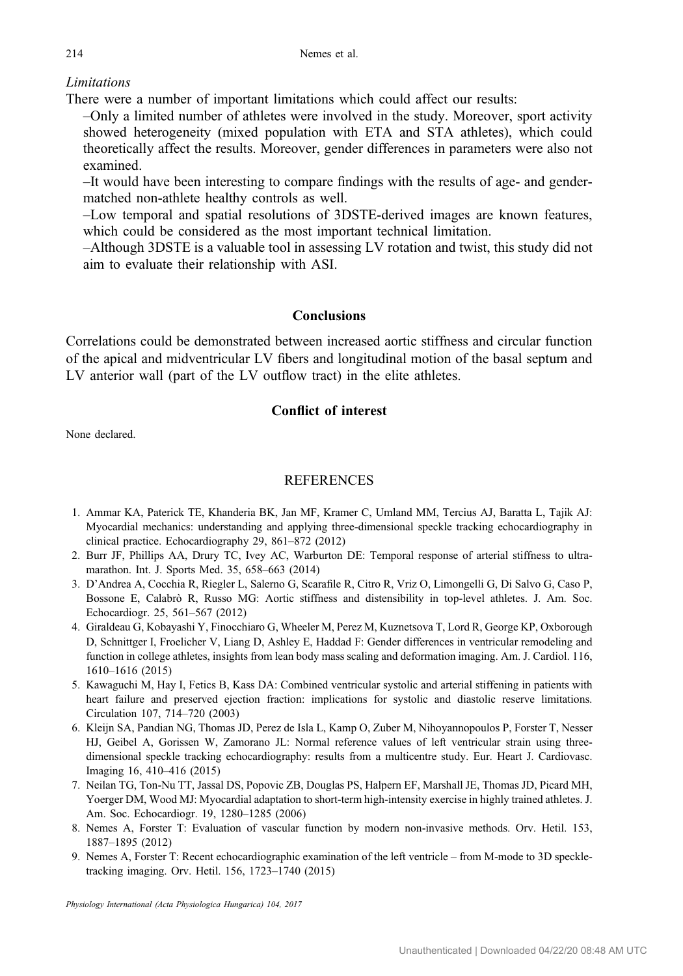# <span id="page-8-0"></span>**Limitations**

There were a number of important limitations which could affect our results:

–Only a limited number of athletes were involved in the study. Moreover, sport activity showed heterogeneity (mixed population with ETA and STA athletes), which could theoretically affect the results. Moreover, gender differences in parameters were also not examined.

–It would have been interesting to compare findings with the results of age- and gendermatched non-athlete healthy controls as well.

–Low temporal and spatial resolutions of 3DSTE-derived images are known features, which could be considered as the most important technical limitation.

–Although 3DSTE is a valuable tool in assessing LV rotation and twist, this study did not aim to evaluate their relationship with ASI.

# Conclusions

Correlations could be demonstrated between increased aortic stiffness and circular function of the apical and midventricular LV fibers and longitudinal motion of the basal septum and LV anterior wall (part of the LV outflow tract) in the elite athletes.

# Conflict of interest

None declared.

# **REFERENCES**

- 1. Ammar KA, Paterick TE, Khanderia BK, Jan MF, Kramer C, Umland MM, Tercius AJ, Baratta L, Tajik AJ: Myocardial mechanics: understanding and applying three-dimensional speckle tracking echocardiography in clinical practice. Echocardiography 29, 861–872 (2012)
- 2. Burr JF, Phillips AA, Drury TC, Ivey AC, Warburton DE: Temporal response of arterial stiffness to ultramarathon. Int. J. Sports Med. 35, 658–663 (2014)
- 3. D'Andrea A, Cocchia R, Riegler L, Salerno G, Scarafile R, Citro R, Vriz O, Limongelli G, Di Salvo G, Caso P, Bossone E, Calabrò R, Russo MG: Aortic stiffness and distensibility in top-level athletes. J. Am. Soc. Echocardiogr. 25, 561–567 (2012)
- 4. Giraldeau G, Kobayashi Y, Finocchiaro G, Wheeler M, Perez M, Kuznetsova T, Lord R, George KP, Oxborough D, Schnittger I, Froelicher V, Liang D, Ashley E, Haddad F: Gender differences in ventricular remodeling and function in college athletes, insights from lean body mass scaling and deformation imaging. Am. J. Cardiol. 116, 1610–1616 (2015)
- 5. Kawaguchi M, Hay I, Fetics B, Kass DA: Combined ventricular systolic and arterial stiffening in patients with heart failure and preserved ejection fraction: implications for systolic and diastolic reserve limitations. Circulation 107, 714–720 (2003)
- 6. Kleijn SA, Pandian NG, Thomas JD, Perez de Isla L, Kamp O, Zuber M, Nihoyannopoulos P, Forster T, Nesser HJ, Geibel A, Gorissen W, Zamorano JL: Normal reference values of left ventricular strain using threedimensional speckle tracking echocardiography: results from a multicentre study. Eur. Heart J. Cardiovasc. Imaging 16, 410–416 (2015)
- 7. Neilan TG, Ton-Nu TT, Jassal DS, Popovic ZB, Douglas PS, Halpern EF, Marshall JE, Thomas JD, Picard MH, Yoerger DM, Wood MJ: Myocardial adaptation to short-term high-intensity exercise in highly trained athletes. J. Am. Soc. Echocardiogr. 19, 1280–1285 (2006)
- 8. Nemes A, Forster T: Evaluation of vascular function by modern non-invasive methods. Orv. Hetil. 153, 1887–1895 (2012)
- 9. Nemes A, Forster T: Recent echocardiographic examination of the left ventricle from M-mode to 3D speckletracking imaging. Orv. Hetil. 156, 1723–1740 (2015)